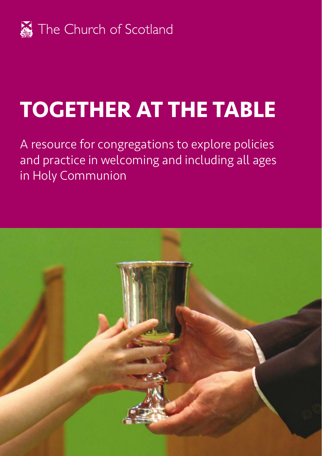

# **TOGETHER AT THE TABLE**

A resource for congregations to explore policies and practice in welcoming and including all ages in Holy Communion

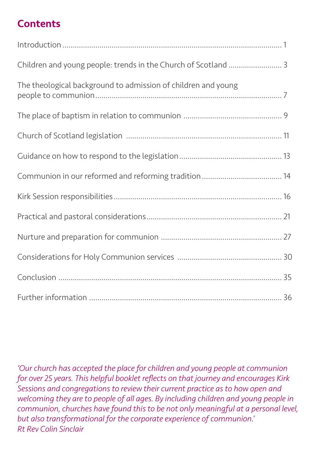# **Contents**

| The theological background to admission of children and young |  |
|---------------------------------------------------------------|--|
|                                                               |  |
|                                                               |  |
|                                                               |  |
|                                                               |  |
|                                                               |  |
|                                                               |  |
|                                                               |  |
|                                                               |  |
|                                                               |  |
|                                                               |  |

*'Our church has accepted the place for children and young people at communion for over 25 years. This helpful booklet reflects on that journey and encourages Kirk Sessions and congregations to review their current practice as to how open and welcoming they are to people of all ages. By including children and young people in communion, churches have found this to be not only meaningful at a personal level, but also transformational for the corporate experience of communion.' Rt Rev Colin Sinclair*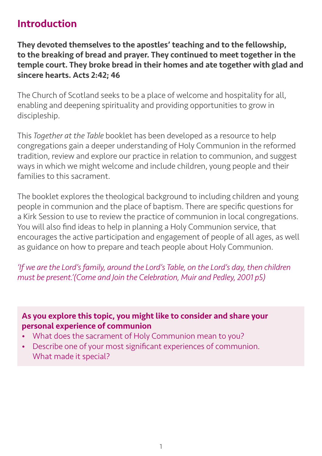# Introduction

They devoted themselves to the apostles' teaching and to the fellowship, to the breaking of bread and prayer. They continued to meet together in the temple court. They broke bread in their homes and ate together with glad and sincere hearts. Acts 2:42; 46

The Church of Scotland seeks to be a place of welcome and hospitality for all, enabling and deepening spirituality and providing opportunities to grow in discipleship.

This *Together at the Table* booklet has been developed as a resource to help congregations gain a deeper understanding of Holy Communion in the reformed tradition, review and explore our practice in relation to communion, and suggest ways in which we might welcome and include children, young people and their families to this sacrament.

The booklet explores the theological background to including children and young people in communion and the place of baptism. There are specific questions for a Kirk Session to use to review the practice of communion in local congregations. You will also find ideas to help in planning a Holy Communion service, that encourages the active participation and engagement of people of all ages, as well as guidance on how to prepare and teach people about Holy Communion.

*'If we are the Lord's family, around the Lord's Table, on the Lord's day, then children must be present.'(Come and Join the Celebration, Muir and Pedley, 2001 p5)*

As you explore this topic, you might like to consider and share your personal experience of communion

- What does the sacrament of Holy Communion mean to you?
- Describe one of your most significant experiences of communion. What made it special?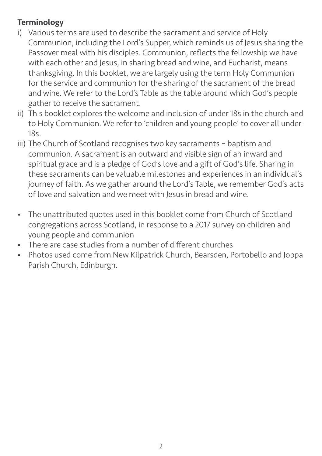## **Terminology**

- i) Various terms are used to describe the sacrament and service of Holy Communion, including the Lord's Supper, which reminds us of Jesus sharing the Passover meal with his disciples. Communion, reflects the fellowship we have with each other and Jesus, in sharing bread and wine, and Eucharist, means thanksgiving. In this booklet, we are largely using the term Holy Communion for the service and communion for the sharing of the sacrament of the bread and wine. We refer to the Lord's Table as the table around which God's people gather to receive the sacrament.
- ii) This booklet explores the welcome and inclusion of under 18s in the church and to Holy Communion. We refer to 'children and young people' to cover all under- $18<sup>5</sup>$
- iii) The Church of Scotland recognises two key sacraments baptism and communion. A sacrament is an outward and visible sign of an inward and spiritual grace and is a pledge of God's love and a gift of God's life. Sharing in these sacraments can be valuable milestones and experiences in an individual's journey of faith. As we gather around the Lord's Table, we remember God's acts of love and salvation and we meet with Jesus in bread and wine.
- The unattributed quotes used in this booklet come from Church of Scotland congregations across Scotland, in response to a 2017 survey on children and young people and communion
- There are case studies from a number of different churches
- Photos used come from New Kilpatrick Church, Bearsden, Portobello and Joppa Parish Church, Edinburgh.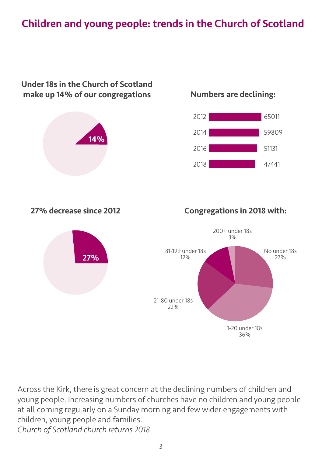# Children and young people: trends in the Church of Scotland



Across the Kirk, there is great concern at the declining numbers of children and young people. Increasing numbers of churches have no children and young people at all coming regularly on a Sunday morning and few wider engagements with children, young people and families. *Church of Scotland church returns 2018* 

21-80 under 18s 22%

> 1-20 under 18s 36%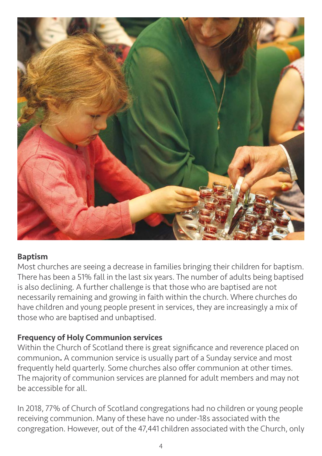

#### Baptism

Most churches are seeing a decrease in families bringing their children for baptism. There has been a 51% fall in the last six years. The number of adults being baptised is also declining. A further challenge is that those who are baptised are not necessarily remaining and growing in faith within the church. Where churches do have children and young people present in services, they are increasingly a mix of those who are baptised and unbaptised.

#### Frequency of Holy Communion services

Within the Church of Scotland there is great significance and reverence placed on communion. A communion service is usually part of a Sunday service and most frequently held quarterly. Some churches also offer communion at other times. The majority of communion services are planned for adult members and may not be accessible for all.

In 2018, 77% of Church of Scotland congregations had no children or young people receiving communion. Many of these have no under-18s associated with the congregation. However, out of the 47,441 children associated with the Church, only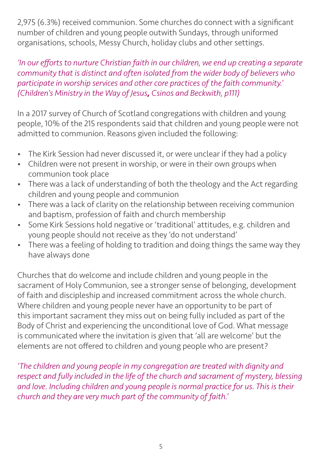2,975 (6.3%) received communion. Some churches do connect with a significant number of children and young people outwith Sundays, through uniformed organisations, schools, Messy Church, holiday clubs and other settings.

*'In our efforts to nurture Christian faith in our children, we end up creating a separate community that is distinct and often isolated from the wider body of believers who participate in worship services and other core practices of the faith community.' (Children's Ministry in the Way of Jesus, Csinos and Beckwith, p111)*

In a 2017 survey of Church of Scotland congregations with children and young people, 10% of the 215 respondents said that children and young people were not admitted to communion. Reasons given included the following:

- The Kirk Session had never discussed it, or were unclear if they had a policy
- Children were not present in worship, or were in their own groups when communion took place
- There was a lack of understanding of both the theology and the Act regarding children and young people and communion
- There was a lack of clarity on the relationship between receiving communion and baptism, profession of faith and church membership
- Some Kirk Sessions hold negative or 'traditional' attitudes, e.g. children and young people should not receive as they 'do not understand'
- There was a feeling of holding to tradition and doing things the same way they have always done

Churches that do welcome and include children and young people in the sacrament of Holy Communion, see a stronger sense of belonging, development of faith and discipleship and increased commitment across the whole church. Where children and young people never have an opportunity to be part of this important sacrament they miss out on being fully included as part of the Body of Christ and experiencing the unconditional love of God. What message is communicated where the invitation is given that 'all are welcome' but the elements are not offered to children and young people who are present?

*'The children and young people in my congregation are treated with dignity and respect and fully included in the life of the church and sacrament of mystery, blessing and love. Including children and young people is normal practice for us. This is their church and they are very much part of the community of faith.'*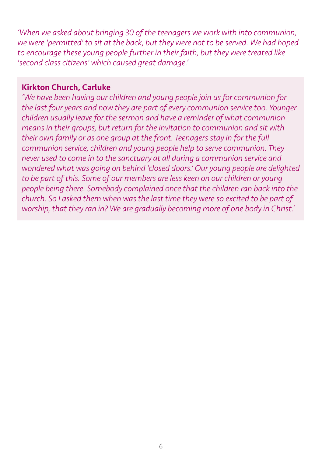*'When we asked about bringing 30 of the teenagers we work with into communion, we were 'permitted' to sit at the back, but they were not to be served. We had hoped to encourage these young people further in their faith, but they were treated like 'second class citizens' which caused great damage.'* 

#### Kirkton Church, Carluke

*'We have been having our children and young people join us for communion for the last four years and now they are part of every communion service too. Younger children usually leave for the sermon and have a reminder of what communion means in their groups, but return for the invitation to communion and sit with their own family or as one group at the front. Teenagers stay in for the full communion service, children and young people help to serve communion. They never used to come in to the sanctuary at all during a communion service and wondered what was going on behind 'closed doors.' Our young people are delighted*  to be part of this. Some of our members are less keen on our children or young *people being there. Somebody complained once that the children ran back into the church. So I asked them when was the last time they were so excited to be part of worship, that they ran in? We are gradually becoming more of one body in Christ.'*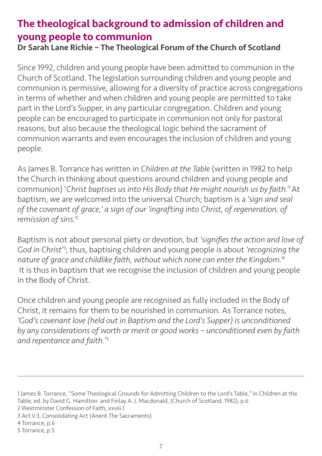# The theological background to admission of children and young people to communion

Dr Sarah Lane Richie – The Theological Forum of the Church of Scotland

Since 1992, children and young people have been admitted to communion in the Church of Scotland. The legislation surrounding children and young people and communion is permissive, allowing for a diversity of practice across congregations in terms of whether and when children and young people are permitted to take part in the Lord's Supper, in any particular congregation. Children and young people can be encouraged to participate in communion not only for pastoral reasons, but also because the theological logic behind the sacrament of communion warrants and even encourages the inclusion of children and young people.

As James B. Torrance has written in *Children at the Table* (written in 1982 to help the Church in thinking about questions around children and young people and communion) '*Christ baptises us into His Body that He might nourish us by faith.'1* At baptism, we are welcomed into the universal Church; baptism is a *'sign and seal of the covenant of grace,' a sign of our 'ingrafting into Christ, of regeneration, of remission of sins.'2*

Baptism is not about personal piety or devotion, but *'signifies the action and love of God in Christ'3* ; thus, baptising children and young people is about *'recognizing the nature of grace and childlike faith, without which none can enter the Kingdom.'<sup>4</sup>* It is thus in baptism that we recognise the inclusion of children and young people in the Body of Christ.

Once children and young people are recognised as fully included in the Body of Christ, it remains for them to be nourished in communion. As Torrance notes, *'God's covenant love (held out in Baptism and the Lord's Supper) is unconditioned by any considerations of worth or merit or good works – unconditioned even by faith and repentance and faith.*' 5

1 James B. Torrance, "Some Theological Grounds for Admitting Children to the Lord's Table," in Children at the Table, ed. by David G. Hamilton and Finlay A. J. Macdonald, (Church of Scotland, 1982), p.6 2 Westminster Confession of Faith, xxviii.1 3 Act V.3, Consolidating Act (Anent The Sacraments) 4 Torrance, p.6

<sup>5</sup> Torrance, p.5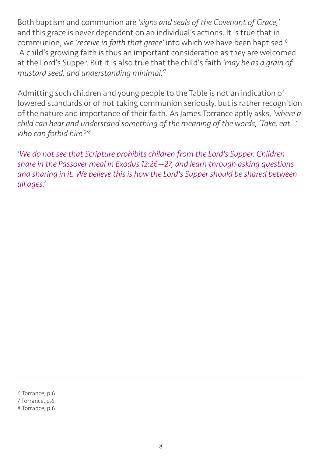Both baptism and communion are *'signs and seals of the Covenant of Grace,'* and this grace is never dependent on an individual's actions. It is true that in communion, we *'receive in faith that grace'* into which we have been baptised.6 A child's growing faith is thus an important consideration as they are welcomed at the Lord's Supper. But it is also true that the child's faith *'may be as a grain of mustard seed, and understanding minimal.'7*

Admitting such children and young people to the Table is not an indication of lowered standards or of not taking communion seriously, but is rather recognition of the nature and importance of their faith. As James Torrance aptly asks, *'where a child can hear and understand something of the meaning of the words, 'Take, eat…' who can forbid him?'8*

*'We do not see that Scripture prohibits children from the Lord's Supper. Children share in the Passover meal in Exodus 12:26—27, and learn through asking questions and sharing in it. We believe this is how the Lord's Supper should be shared between all ages.'*

6 Torrance, p.6 7 Torrance, p.6 8 Torrance, p.6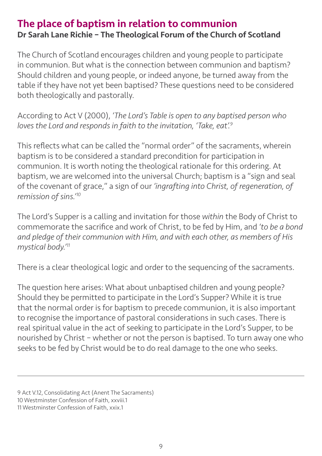# The place of baptism in relation to communion Dr Sarah Lane Richie – The Theological Forum of the Church of Scotland

The Church of Scotland encourages children and young people to participate in communion. But what is the connection between communion and baptism? Should children and young people, or indeed anyone, be turned away from the table if they have not yet been baptised? These questions need to be considered both theologically and pastorally.

According to Act V (2000), *'The Lord's Table is open to any baptised person who loves the Lord and responds in faith to the invitation, 'Take, eat'.9*

This reflects what can be called the "normal order" of the sacraments, wherein baptism is to be considered a standard precondition for participation in communion. It is worth noting the theological rationale for this ordering. At baptism, we are welcomed into the universal Church; baptism is a "sign and seal of the covenant of grace," a sign of our *'ingrafting into Christ, of regeneration, of remission of sins.'10*

The Lord's Supper is a calling and invitation for those *within* the Body of Christ to commemorate the sacrifice and work of Christ, to be fed by Him, and *'to be a bond and pledge of their communion with Him, and with each other, as members of His mystical body.'11*

There is a clear theological logic and order to the sequencing of the sacraments.

The question here arises: What about unbaptised children and young people? Should they be permitted to participate in the Lord's Supper? While it is true that the normal order is for baptism to precede communion, it is also important to recognise the importance of pastoral considerations in such cases. There is real spiritual value in the act of seeking to participate in the Lord's Supper, to be nourished by Christ – whether or not the person is baptised. To turn away one who seeks to be fed by Christ would be to do real damage to the one who seeks.

9 Act V.12, Consolidating Act (Anent The Sacraments) 10 Westminster Confession of Faith, xxviii.1 11 Westminster Confession of Faith, xxix.1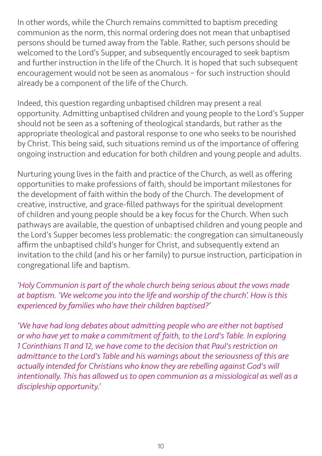In other words, while the Church remains committed to baptism preceding communion as the norm, this normal ordering does not mean that unbaptised persons should be turned away from the Table. Rather, such persons should be welcomed to the Lord's Supper, and subsequently encouraged to seek baptism and further instruction in the life of the Church. It is hoped that such subsequent encouragement would not be seen as anomalous – for such instruction should already be a component of the life of the Church.

Indeed, this question regarding unbaptised children may present a real opportunity. Admitting unbaptised children and young people to the Lord's Supper should not be seen as a softening of theological standards, but rather as the appropriate theological and pastoral response to one who seeks to be nourished by Christ. This being said, such situations remind us of the importance of offering ongoing instruction and education for both children and young people and adults.

Nurturing young lives in the faith and practice of the Church, as well as offering opportunities to make professions of faith, should be important milestones for the development of faith within the body of the Church. The development of creative, instructive, and grace-filled pathways for the spiritual development of children and young people should be a key focus for the Church. When such pathways are available, the question of unbaptised children and young people and the Lord's Supper becomes less problematic: the congregation can simultaneously affirm the unbaptised child's hunger for Christ, and subsequently extend an invitation to the child (and his or her family) to pursue instruction, participation in congregational life and baptism.

## *'Holy Communion is part of the whole church being serious about the vows made at baptism. 'We welcome you into the life and worship of the church'. How is this experienced by families who have their children baptised?'*

*'We have had long debates about admitting people who are either not baptised or who have yet to make a commitment of faith, to the Lord's Table. In exploring 1 Corinthians 11 and 12, we have come to the decision that Paul's restriction on admittance to the Lord's Table and his warnings about the seriousness of this are actually intended for Christians who know they are rebelling against God's will intentionally. This has allowed us to open communion as a missiological as well as a discipleship opportunity.'*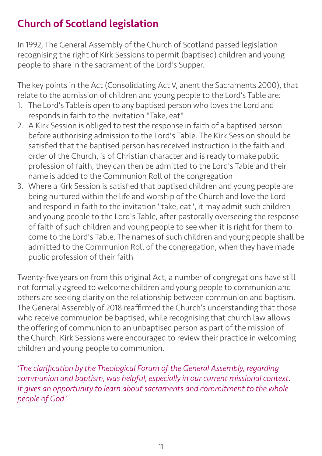# Church of Scotland legislation

In 1992, The General Assembly of the Church of Scotland passed legislation recognising the right of Kirk Sessions to permit (baptised) children and young people to share in the sacrament of the Lord's Supper.

The key points in the Act (Consolidating Act V, anent the Sacraments 2000), that relate to the admission of children and young people to the Lord's Table are:

- 1. The Lord's Table is open to any baptised person who loves the Lord and responds in faith to the invitation "Take, eat"
- 2. A Kirk Session is obliged to test the response in faith of a baptised person before authorising admission to the Lord's Table. The Kirk Session should be satisfied that the baptised person has received instruction in the faith and order of the Church, is of Christian character and is ready to make public profession of faith, they can then be admitted to the Lord's Table and their name is added to the Communion Roll of the congregation
- 3. Where a Kirk Session is satisfied that baptised children and young people are being nurtured within the life and worship of the Church and love the Lord and respond in faith to the invitation "take, eat", it may admit such children and young people to the Lord's Table, after pastorally overseeing the response of faith of such children and young people to see when it is right for them to come to the Lord's Table. The names of such children and young people shall be admitted to the Communion Roll of the congregation, when they have made public profession of their faith

Twenty-five years on from this original Act, a number of congregations have still not formally agreed to welcome children and young people to communion and others are seeking clarity on the relationship between communion and baptism. The General Assembly of 2018 reaffirmed the Church's understanding that those who receive communion be baptised, while recognising that church law allows the offering of communion to an unbaptised person as part of the mission of the Church. Kirk Sessions were encouraged to review their practice in welcoming children and young people to communion.

*'The clarification by the Theological Forum of the General Assembly, regarding communion and baptism, was helpful, especially in our current missional context. It gives an opportunity to learn about sacraments and commitment to the whole people of God.'*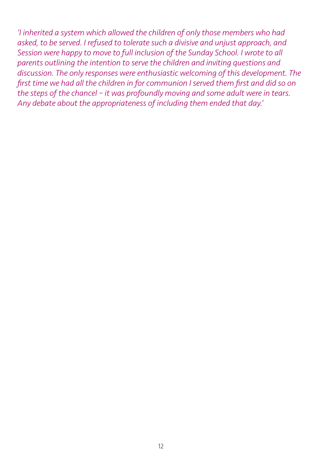*'I inherited a system which allowed the children of only those members who had asked, to be served. I refused to tolerate such a divisive and unjust approach, and Session were happy to move to full inclusion of the Sunday School. I wrote to all parents outlining the intention to serve the children and inviting questions and discussion. The only responses were enthusiastic welcoming of this development. The first time we had all the children in for communion I served them first and did so on the steps of the chancel – it was profoundly moving and some adult were in tears. Any debate about the appropriateness of including them ended that day.'*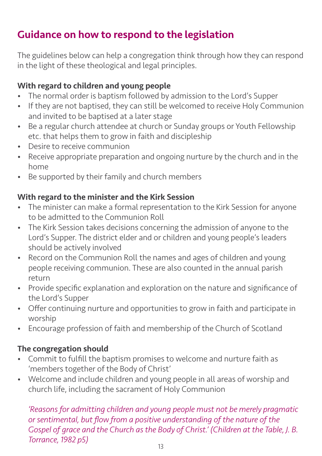# Guidance on how to respond to the legislation

The guidelines below can help a congregation think through how they can respond in the light of these theological and legal principles.

## With regard to children and young people

- The normal order is baptism followed by admission to the Lord's Supper
- If they are not baptised, they can still be welcomed to receive Holy Communion and invited to be baptised at a later stage
- Be a regular church attendee at church or Sunday groups or Youth Fellowship etc. that helps them to grow in faith and discipleship
- Desire to receive communion
- Receive appropriate preparation and ongoing nurture by the church and in the home
- Be supported by their family and church members

## With regard to the minister and the Kirk Session

- The minister can make a formal representation to the Kirk Session for anyone to be admitted to the Communion Roll
- The Kirk Session takes decisions concerning the admission of anyone to the Lord's Supper. The district elder and or children and young people's leaders should be actively involved
- Record on the Communion Roll the names and ages of children and young people receiving communion. These are also counted in the annual parish return
- Provide specific explanation and exploration on the nature and significance of the Lord's Supper
- Offer continuing nurture and opportunities to grow in faith and participate in worship
- Encourage profession of faith and membership of the Church of Scotland

# The congregation should

- Commit to fulfill the baptism promises to welcome and nurture faith as 'members together of the Body of Christ'
- Welcome and include children and young people in all areas of worship and church life, including the sacrament of Holy Communion

*'Reasons for admitting children and young people must not be merely pragmatic or sentimental, but flow from a positive understanding of the nature of the Gospel of grace and the Church as the Body of Christ.' (Children at the Table, J. B. Torrance, 1982 p5)*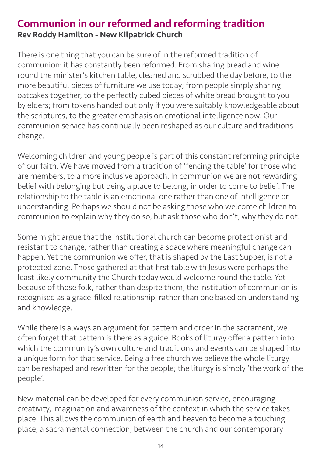# Communion in our reformed and reforming tradition Rev Roddy Hamilton - New Kilpatrick Church

There is one thing that you can be sure of in the reformed tradition of communion: it has constantly been reformed. From sharing bread and wine round the minister's kitchen table, cleaned and scrubbed the day before, to the more beautiful pieces of furniture we use today; from people simply sharing oatcakes together, to the perfectly cubed pieces of white bread brought to you by elders; from tokens handed out only if you were suitably knowledgeable about the scriptures, to the greater emphasis on emotional intelligence now. Our communion service has continually been reshaped as our culture and traditions change.

Welcoming children and young people is part of this constant reforming principle of our faith. We have moved from a tradition of 'fencing the table' for those who are members, to a more inclusive approach. In communion we are not rewarding belief with belonging but being a place to belong, in order to come to belief. The relationship to the table is an emotional one rather than one of intelligence or understanding. Perhaps we should not be asking those who welcome children to communion to explain why they do so, but ask those who don't, why they do not.

Some might argue that the institutional church can become protectionist and resistant to change, rather than creating a space where meaningful change can happen. Yet the communion we offer, that is shaped by the Last Supper, is not a protected zone. Those gathered at that first table with Jesus were perhaps the least likely community the Church today would welcome round the table. Yet because of those folk, rather than despite them, the institution of communion is recognised as a grace-filled relationship, rather than one based on understanding and knowledge.

While there is always an argument for pattern and order in the sacrament, we often forget that pattern is there as a guide. Books of liturgy offer a pattern into which the community's own culture and traditions and events can be shaped into a unique form for that service. Being a free church we believe the whole liturgy can be reshaped and rewritten for the people; the liturgy is simply 'the work of the people'.

New material can be developed for every communion service, encouraging creativity, imagination and awareness of the context in which the service takes place. This allows the communion of earth and heaven to become a touching place, a sacramental connection, between the church and our contemporary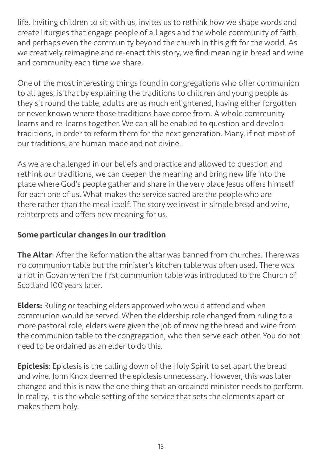life. Inviting children to sit with us, invites us to rethink how we shape words and create liturgies that engage people of all ages and the whole community of faith, and perhaps even the community beyond the church in this gift for the world. As we creatively reimagine and re-enact this story, we find meaning in bread and wine and community each time we share.

One of the most interesting things found in congregations who offer communion to all ages, is that by explaining the traditions to children and young people as they sit round the table, adults are as much enlightened, having either forgotten or never known where those traditions have come from. A whole community learns and re-learns together. We can all be enabled to question and develop traditions, in order to reform them for the next generation. Many, if not most of our traditions, are human made and not divine.

As we are challenged in our beliefs and practice and allowed to question and rethink our traditions, we can deepen the meaning and bring new life into the place where God's people gather and share in the very place Jesus offers himself for each one of us. What makes the service sacred are the people who are there rather than the meal itself. The story we invest in simple bread and wine, reinterprets and offers new meaning for us.

## Some particular changes in our tradition

The Altar: After the Reformation the altar was banned from churches. There was no communion table but the minister's kitchen table was often used. There was a riot in Govan when the first communion table was introduced to the Church of Scotland 100 years later.

**Elders:** Ruling or teaching elders approved who would attend and when communion would be served. When the eldership role changed from ruling to a more pastoral role, elders were given the job of moving the bread and wine from the communion table to the congregation, who then serve each other. You do not need to be ordained as an elder to do this.

Epiclesis: Epiclesis is the calling down of the Holy Spirit to set apart the bread and wine. John Knox deemed the epiclesis unnecessary. However, this was later changed and this is now the one thing that an ordained minister needs to perform. In reality, it is the whole setting of the service that sets the elements apart or makes them holy.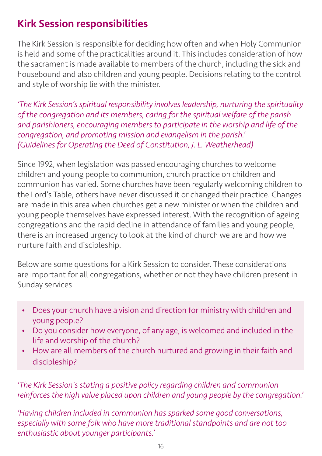# Kirk Session responsibilities

The Kirk Session is responsible for deciding how often and when Holy Communion is held and some of the practicalities around it. This includes consideration of how the sacrament is made available to members of the church, including the sick and housebound and also children and young people. Decisions relating to the control and style of worship lie with the minister.

*'The Kirk Session's spiritual responsibility involves leadership, nurturing the spirituality of the congregation and its members, caring for the spiritual welfare of the parish and parishioners, encouraging members to participate in the worship and life of the congregation, and promoting mission and evangelism in the parish.' (Guidelines for Operating the Deed of Constitution, J. L. Weatherhead)*

Since 1992, when legislation was passed encouraging churches to welcome children and young people to communion, church practice on children and communion has varied. Some churches have been regularly welcoming children to the Lord's Table, others have never discussed it or changed their practice. Changes are made in this area when churches get a new minister or when the children and young people themselves have expressed interest. With the recognition of ageing congregations and the rapid decline in attendance of families and young people, there is an increased urgency to look at the kind of church we are and how we nurture faith and discipleship.

Below are some questions for a Kirk Session to consider. These considerations are important for all congregations, whether or not they have children present in Sunday services.

- Does your church have a vision and direction for ministry with children and young people?
- Do you consider how everyone, of any age, is welcomed and included in the life and worship of the church?
- How are all members of the church nurtured and growing in their faith and discipleship?

*'The Kirk Session's stating a positive policy regarding children and communion reinforces the high value placed upon children and young people by the congregation.'*

*'Having children included in communion has sparked some good conversations, especially with some folk who have more traditional standpoints and are not too enthusiastic about younger participants.'*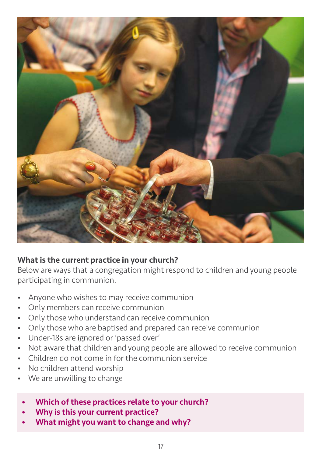

#### What is the current practice in your church?

Below are ways that a congregation might respond to children and young people participating in communion.

- Anyone who wishes to may receive communion
- Only members can receive communion
- Only those who understand can receive communion
- Only those who are baptised and prepared can receive communion
- Under-18s are ignored or 'passed over'
- Not aware that children and young people are allowed to receive communion
- Children do not come in for the communion service
- No children attend worship
- We are unwilling to change
	- Which of these practices relate to your church?
	- Why is this your current practice?
	- What might you want to change and why?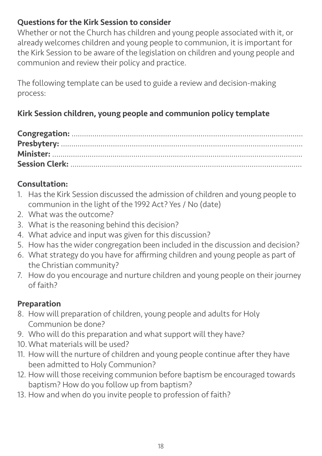## Questions for the Kirk Session to consider

Whether or not the Church has children and young people associated with it, or already welcomes children and young people to communion, it is important for the Kirk Session to be aware of the legislation on children and young people and communion and review their policy and practice.

The following template can be used to guide a review and decision-making process:

# Kirk Session children, young people and communion policy template

# Consultation:

- 1. Has the Kirk Session discussed the admission of children and young people to communion in the light of the 1992 Act? Yes / No (date)
- 2. What was the outcome?
- 3. What is the reasoning behind this decision?
- 4. What advice and input was given for this discussion?
- 5. How has the wider congregation been included in the discussion and decision?
- 6. What strategy do you have for affirming children and young people as part of the Christian community?
- 7. How do you encourage and nurture children and young people on their journey of faith?

# Preparation

- 8. How will preparation of children, young people and adults for Holy Communion be done?
- 9. Who will do this preparation and what support will they have?
- 10.What materials will be used?
- 11. How will the nurture of children and young people continue after they have been admitted to Holy Communion?
- 12. How will those receiving communion before baptism be encouraged towards baptism? How do you follow up from baptism?
- 13. How and when do you invite people to profession of faith?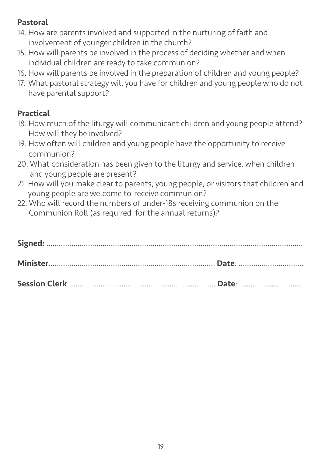# Pastoral

- 14. How are parents involved and supported in the nurturing of faith and involvement of younger children in the church?
- 15. How will parents be involved in the process of deciding whether and when individual children are ready to take communion?
- 16. How will parents be involved in the preparation of children and young people?
- 17. What pastoral strategy will you have for children and young people who do not have parental support?

# Practical

- 18. How much of the liturgy will communicant children and young people attend? How will they be involved?
- 19. How often will children and young people have the opportunity to receive communion?
- 20. What consideration has been given to the liturgy and service, when children and young people are present?
- 21. How will you make clear to parents, young people, or visitors that children and young people are welcome to receive communion?
- 22. Who will record the numbers of under-18s receiving communion on the Communion Roll (as required for the annual returns)?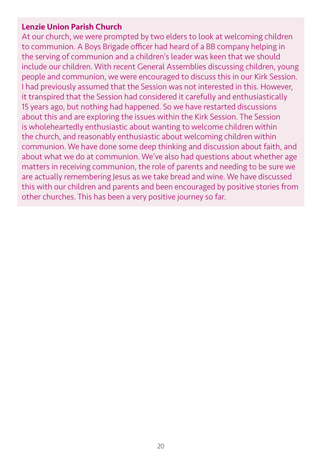#### Lenzie Union Parish Church

At our church, we were prompted by two elders to look at welcoming children to communion. A Boys Brigade officer had heard of a BB company helping in the serving of communion and a children's leader was keen that we should include our children. With recent General Assemblies discussing children, young people and communion, we were encouraged to discuss this in our Kirk Session. I had previously assumed that the Session was not interested in this. However, it transpired that the Session had considered it carefully and enthusiastically 15 years ago, but nothing had happened. So we have restarted discussions about this and are exploring the issues within the Kirk Session. The Session is wholeheartedly enthusiastic about wanting to welcome children within the church, and reasonably enthusiastic about welcoming children within communion. We have done some deep thinking and discussion about faith, and about what we do at communion. We've also had questions about whether age matters in receiving communion, the role of parents and needing to be sure we are actually remembering Jesus as we take bread and wine. We have discussed this with our children and parents and been encouraged by positive stories from other churches. This has been a very positive journey so far.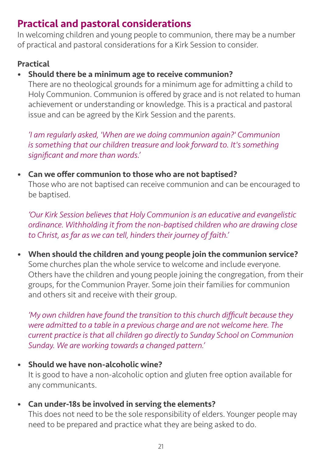# Practical and pastoral considerations

In welcoming children and young people to communion, there may be a number of practical and pastoral considerations for a Kirk Session to consider.

## Practical

## • Should there be a minimum age to receive communion?

 There are no theological grounds for a minimum age for admitting a child to Holy Communion. Communion is offered by grace and is not related to human achievement or understanding or knowledge. This is a practical and pastoral issue and can be agreed by the Kirk Session and the parents.

*'I am regularly asked, 'When are we doing communion again?' Communion is something that our children treasure and look forward to. It's something significant and more than words.'*

## • Can we offer communion to those who are not baptised?

 Those who are not baptised can receive communion and can be encouraged to be baptised.

*'Our Kirk Session believes that Holy Communion is an educative and evangelistic ordinance. Withholding it from the non-baptised children who are drawing close to Christ, as far as we can tell, hinders their journey of faith.'*

• When should the children and young people join the communion service? Some churches plan the whole service to welcome and include everyone. Others have the children and young people joining the congregation, from their groups, for the Communion Prayer. Some join their families for communion and others sit and receive with their group.

*'My own children have found the transition to this church difficult because they were admitted to a table in a previous charge and are not welcome here. The current practice is that all children go directly to Sunday School on Communion Sunday. We are working towards a changed pattern.'*

- Should we have non-alcoholic wine? It is good to have a non-alcoholic option and gluten free option available for any communicants.
- Can under-18s be involved in serving the elements?

 This does not need to be the sole responsibility of elders. Younger people may need to be prepared and practice what they are being asked to do.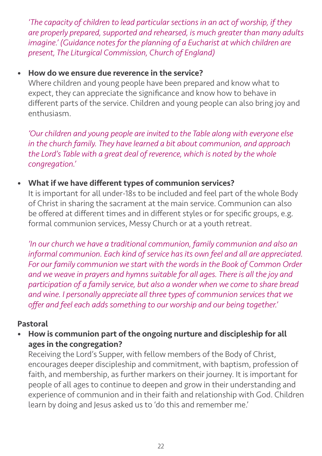*'The capacity of children to lead particular sections in an act of worship, if they are properly prepared, supported and rehearsed, is much greater than many adults imagine.' (Guidance notes for the planning of a Eucharist at which children are present, The Liturgical Commission, Church of England)*

## • How do we ensure due reverence in the service?

 Where children and young people have been prepared and know what to expect, they can appreciate the significance and know how to behave in different parts of the service. Children and young people can also bring joy and enthusiasm.

*'Our children and young people are invited to the Table along with everyone else in the church family. They have learned a bit about communion, and approach the Lord's Table with a great deal of reverence, which is noted by the whole congregation.'*

## • What if we have different types of communion services?

 It is important for all under-18s to be included and feel part of the whole Body of Christ in sharing the sacrament at the main service. Communion can also be offered at different times and in different styles or for specific groups, e.g. formal communion services, Messy Church or at a youth retreat.

*'In our church we have a traditional communion, family communion and also an informal communion. Each kind of service has its own feel and all are appreciated. For our family communion we start with the words in the Book of Common Order and we weave in prayers and hymns suitable for all ages. There is all the joy and participation of a family service, but also a wonder when we come to share bread and wine. I personally appreciate all three types of communion services that we offer and feel each adds something to our worship and our being together.'*

#### Pastoral

## • How is communion part of the ongoing nurture and discipleship for all ages in the congregation?

 Receiving the Lord's Supper, with fellow members of the Body of Christ, encourages deeper discipleship and commitment, with baptism, profession of faith, and membership, as further markers on their journey. It is important for people of all ages to continue to deepen and grow in their understanding and experience of communion and in their faith and relationship with God. Children learn by doing and Jesus asked us to 'do this and remember me.'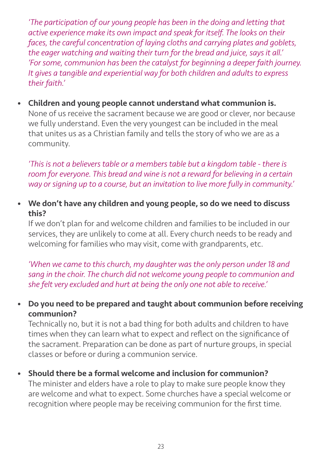*'The participation of our young people has been in the doing and letting that active experience make its own impact and speak for itself. The looks on their faces, the careful concentration of laying cloths and carrying plates and goblets, the eager watching and waiting their turn for the bread and juice, says it all.' 'For some, communion has been the catalyst for beginning a deeper faith journey. It gives a tangible and experiential way for both children and adults to express their faith.'*

• Children and young people cannot understand what communion is. None of us receive the sacrament because we are good or clever, nor because we fully understand. Even the very youngest can be included in the meal that unites us as a Christian family and tells the story of who we are as a community.

*'This is not a believers table or a members table but a kingdom table - there is room for everyone. This bread and wine is not a reward for believing in a certain way or signing up to a course, but an invitation to live more fully in community.'*

• We don't have any children and young people, so do we need to discuss this?

 If we don't plan for and welcome children and families to be included in our services, they are unlikely to come at all. Every church needs to be ready and welcoming for families who may visit, come with grandparents, etc.

*'When we came to this church, my daughter was the only person under 18 and sang in the choir. The church did not welcome young people to communion and she felt very excluded and hurt at being the only one not able to receive.'*

• Do you need to be prepared and taught about communion before receiving communion?

 Technically no, but it is not a bad thing for both adults and children to have times when they can learn what to expect and reflect on the significance of the sacrament. Preparation can be done as part of nurture groups, in special classes or before or during a communion service.

• Should there be a formal welcome and inclusion for communion?

 The minister and elders have a role to play to make sure people know they are welcome and what to expect. Some churches have a special welcome or recognition where people may be receiving communion for the first time.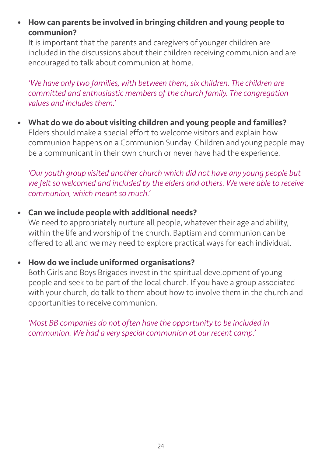• How can parents be involved in bringing children and young people to communion?

 It is important that the parents and caregivers of younger children are included in the discussions about their children receiving communion and are encouraged to talk about communion at home.

*'We have only two families, with between them, six children. The children are committed and enthusiastic members of the church family. The congregation values and includes them.'*

• What do we do about visiting children and young people and families? Elders should make a special effort to welcome visitors and explain how communion happens on a Communion Sunday. Children and young people may be a communicant in their own church or never have had the experience.

*'Our youth group visited another church which did not have any young people but we felt so welcomed and included by the elders and others. We were able to receive communion, which meant so much.'*

• Can we include people with additional needs?

We need to appropriately nurture all people, whatever their age and ability, within the life and worship of the church. Baptism and communion can be offered to all and we may need to explore practical ways for each individual.

• How do we include uniformed organisations?

 Both Girls and Boys Brigades invest in the spiritual development of young people and seek to be part of the local church. If you have a group associated with your church, do talk to them about how to involve them in the church and opportunities to receive communion.

*'Most BB companies do not often have the opportunity to be included in communion. We had a very special communion at our recent camp.'*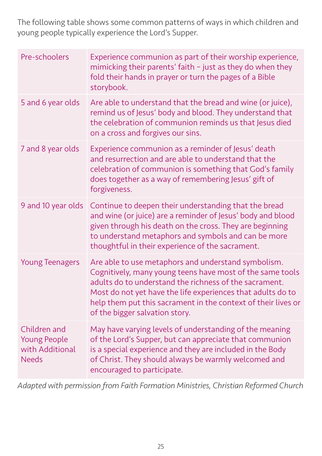The following table shows some common patterns of ways in which children and young people typically experience the Lord's Supper.

| Pre-schoolers                                                          | Experience communion as part of their worship experience,<br>mimicking their parents' faith - just as they do when they<br>fold their hands in prayer or turn the pages of a Bible<br>storybook.                                                                                                                                             |
|------------------------------------------------------------------------|----------------------------------------------------------------------------------------------------------------------------------------------------------------------------------------------------------------------------------------------------------------------------------------------------------------------------------------------|
| 5 and 6 year olds                                                      | Are able to understand that the bread and wine (or juice),<br>remind us of Jesus' body and blood. They understand that<br>the celebration of communion reminds us that Jesus died<br>on a cross and forgives our sins.                                                                                                                       |
| 7 and 8 year olds                                                      | Experience communion as a reminder of Jesus' death<br>and resurrection and are able to understand that the<br>celebration of communion is something that God's family<br>does together as a way of remembering Jesus' gift of<br>forgiveness.                                                                                                |
| 9 and 10 year olds                                                     | Continue to deepen their understanding that the bread<br>and wine (or juice) are a reminder of Jesus' body and blood<br>given through his death on the cross. They are beginning<br>to understand metaphors and symbols and can be more<br>thoughtful in their experience of the sacrament.                                                  |
| <b>Young Teenagers</b>                                                 | Are able to use metaphors and understand symbolism.<br>Cognitively, many young teens have most of the same tools<br>adults do to understand the richness of the sacrament.<br>Most do not yet have the life experiences that adults do to<br>help them put this sacrament in the context of their lives or<br>of the bigger salvation story. |
| Children and<br><b>Young People</b><br>with Additional<br><b>Needs</b> | May have varying levels of understanding of the meaning<br>of the Lord's Supper, but can appreciate that communion<br>is a special experience and they are included in the Body<br>of Christ. They should always be warmly welcomed and<br>encouraged to participate.                                                                        |

*Adapted with permission from Faith Formation Ministries, Christian Reformed Church*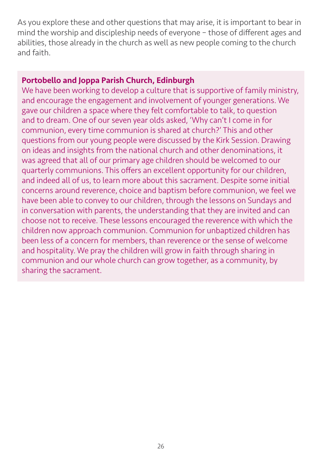As you explore these and other questions that may arise, it is important to bear in mind the worship and discipleship needs of everyone – those of different ages and abilities, those already in the church as well as new people coming to the church and faith.

#### Portobello and Joppa Parish Church, Edinburgh

We have been working to develop a culture that is supportive of family ministry, and encourage the engagement and involvement of younger generations. We gave our children a space where they felt comfortable to talk, to question and to dream. One of our seven year olds asked, 'Why can't I come in for communion, every time communion is shared at church?' This and other questions from our young people were discussed by the Kirk Session. Drawing on ideas and insights from the national church and other denominations, it was agreed that all of our primary age children should be welcomed to our quarterly communions. This offers an excellent opportunity for our children, and indeed all of us, to learn more about this sacrament. Despite some initial concerns around reverence, choice and baptism before communion, we feel we have been able to convey to our children, through the lessons on Sundays and in conversation with parents, the understanding that they are invited and can choose not to receive. These lessons encouraged the reverence with which the children now approach communion. Communion for unbaptized children has been less of a concern for members, than reverence or the sense of welcome and hospitality. We pray the children will grow in faith through sharing in communion and our whole church can grow together, as a community, by sharing the sacrament.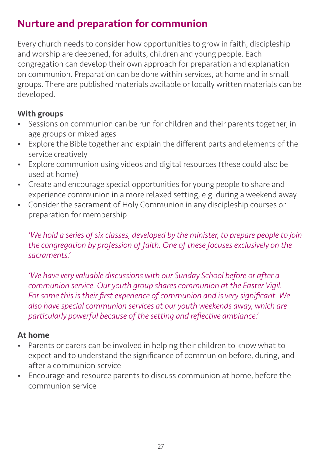# Nurture and preparation for communion

Every church needs to consider how opportunities to grow in faith, discipleship and worship are deepened, for adults, children and young people. Each congregation can develop their own approach for preparation and explanation on communion. Preparation can be done within services, at home and in small groups. There are published materials available or locally written materials can be developed.

## With groups

- Sessions on communion can be run for children and their parents together, in age groups or mixed ages
- Explore the Bible together and explain the different parts and elements of the service creatively
- Explore communion using videos and digital resources (these could also be used at home)
- Create and encourage special opportunities for young people to share and experience communion in a more relaxed setting, e.g. during a weekend away
- Consider the sacrament of Holy Communion in any discipleship courses or preparation for membership

*'We hold a series of six classes, developed by the minister, to prepare people to join the congregation by profession of faith. One of these focuses exclusively on the sacraments.'*

*'We have very valuable discussions with our Sunday School before or after a communion service. Our youth group shares communion at the Easter Vigil. For some this is their first experience of communion and is very significant. We also have special communion services at our youth weekends away, which are particularly powerful because of the setting and reflective ambiance.'*

## At home

- Parents or carers can be involved in helping their children to know what to expect and to understand the significance of communion before, during, and after a communion service
- Encourage and resource parents to discuss communion at home, before the communion service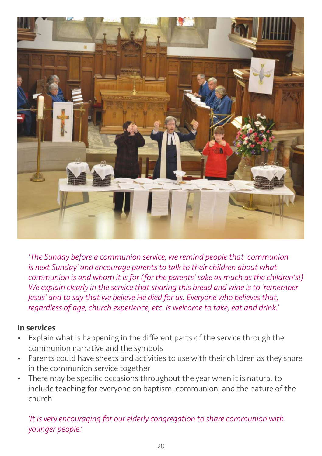

*'The Sunday before a communion service, we remind people that 'communion is next Sunday' and encourage parents to talk to their children about what communion is and whom it is for (for the parents' sake as much as the children's!) We explain clearly in the service that sharing this bread and wine is to 'remember Jesus' and to say that we believe He died for us. Everyone who believes that, regardless of age, church experience, etc. is welcome to take, eat and drink.'*

#### In services

- Explain what is happening in the different parts of the service through the communion narrative and the symbols
- Parents could have sheets and activities to use with their children as they share in the communion service together
- There may be specific occasions throughout the year when it is natural to include teaching for everyone on baptism, communion, and the nature of the church

*'It is very encouraging for our elderly congregation to share communion with younger people.'*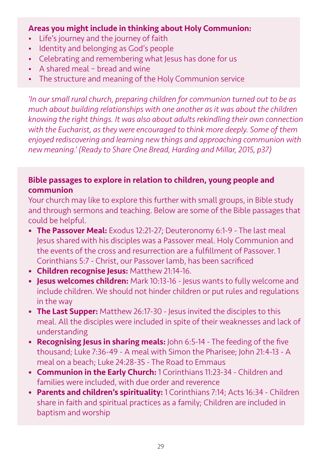#### Areas you might include in thinking about Holy Communion:

- Life's journey and the journey of faith
- Identity and belonging as God's people
- Celebrating and remembering what Jesus has done for us
- A shared meal bread and wine
- The structure and meaning of the Holy Communion service

*'In our small rural church, preparing children for communion turned out to be as much about building relationships with one another as it was about the children knowing the right things. It was also about adults rekindling their own connection with the Eucharist, as they were encouraged to think more deeply. Some of them enjoyed rediscovering and learning new things and approaching communion with new meaning.' (Ready to Share One Bread, Harding and Millar, 2015, p37)*

## Bible passages to explore in relation to children, young people and communion

Your church may like to explore this further with small groups, in Bible study and through sermons and teaching. Below are some of the Bible passages that could be helpful.

- The Passover Meal: Exodus 12:21-27: Deuteronomy 6:1-9 The last meal Jesus shared with his disciples was a Passover meal. Holy Communion and the events of the cross and resurrection are a fulfillment of Passover. 1 Corinthians 5:7 - Christ, our Passover lamb, has been sacrificed
- Children recognise Jesus: Matthew 21:14-16.
- **Jesus welcomes children:** Mark 10:13-16 Jesus wants to fully welcome and include children. We should not hinder children or put rules and regulations in the way
- The Last Supper: Matthew 26:17-30 Jesus invited the disciples to this meal. All the disciples were included in spite of their weaknesses and lack of understanding
- Recognising Jesus in sharing meals: John 6:5-14 The feeding of the five thousand; Luke 7:36-49 - A meal with Simon the Pharisee; John 21:4-13 - A meal on a beach; Luke 24:28-35 - The Road to Emmaus
- Communion in the Early Church: 1 Corinthians 11:23-34 Children and families were included, with due order and reverence
- Parents and children's spirituality: 1 Corinthians 7:14; Acts 16:34 Children share in faith and spiritual practices as a family; Children are included in baptism and worship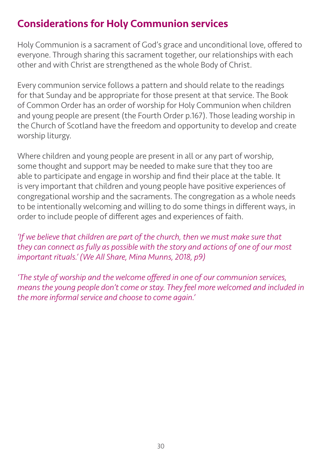# Considerations for Holy Communion services

Holy Communion is a sacrament of God's grace and unconditional love, offered to everyone. Through sharing this sacrament together, our relationships with each other and with Christ are strengthened as the whole Body of Christ.

Every communion service follows a pattern and should relate to the readings for that Sunday and be appropriate for those present at that service. The Book of Common Order has an order of worship for Holy Communion when children and young people are present (the Fourth Order p.167). Those leading worship in the Church of Scotland have the freedom and opportunity to develop and create worship liturgy.

Where children and young people are present in all or any part of worship, some thought and support may be needed to make sure that they too are able to participate and engage in worship and find their place at the table. It is very important that children and young people have positive experiences of congregational worship and the sacraments. The congregation as a whole needs to be intentionally welcoming and willing to do some things in different ways, in order to include people of different ages and experiences of faith.

*'If we believe that children are part of the church, then we must make sure that they can connect as fully as possible with the story and actions of one of our most important rituals.' (We All Share, Mina Munns, 2018, p9)*

*'The style of worship and the welcome offered in one of our communion services, means the young people don't come or stay. They feel more welcomed and included in the more informal service and choose to come again.'*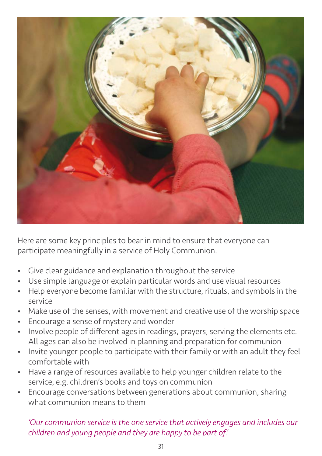

Here are some key principles to bear in mind to ensure that everyone can participate meaningfully in a service of Holy Communion.

- Give clear guidance and explanation throughout the service
- Use simple language or explain particular words and use visual resources
- Help everyone become familiar with the structure, rituals, and symbols in the service
- Make use of the senses, with movement and creative use of the worship space
- Encourage a sense of mystery and wonder
- Involve people of different ages in readings, prayers, serving the elements etc. All ages can also be involved in planning and preparation for communion
- Invite younger people to participate with their family or with an adult they feel comfortable with
- Have a range of resources available to help younger children relate to the service, e.g. children's books and toys on communion
- Encourage conversations between generations about communion, sharing what communion means to them

*'Our communion service is the one service that actively engages and includes our children and young people and they are happy to be part of.'*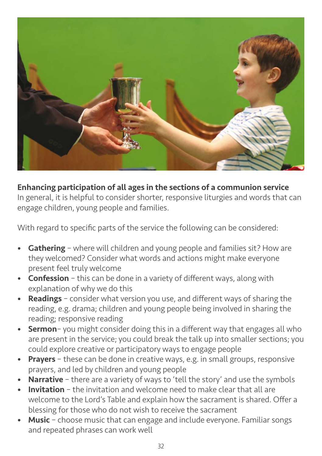

Enhancing participation of all ages in the sections of a communion service In general, it is helpful to consider shorter, responsive liturgies and words that can

engage children, young people and families.

With regard to specific parts of the service the following can be considered:

- Gathering where will children and young people and families sit? How are they welcomed? Consider what words and actions might make everyone present feel truly welcome
- Confession this can be done in a variety of different ways, along with explanation of why we do this
- Readings consider what version you use, and different ways of sharing the reading, e.g. drama; children and young people being involved in sharing the reading; responsive reading
- **Sermon** you might consider doing this in a different way that engages all who are present in the service; you could break the talk up into smaller sections; you could explore creative or participatory ways to engage people
- **Prayers** these can be done in creative ways, e.g. in small groups, responsive prayers, and led by children and young people
- **Narrative** there are a variety of ways to 'tell the story' and use the symbols
- **Invitation** the invitation and welcome need to make clear that all are welcome to the Lord's Table and explain how the sacrament is shared. Offer a blessing for those who do not wish to receive the sacrament
- **Music** choose music that can engage and include everyone. Familiar songs and repeated phrases can work well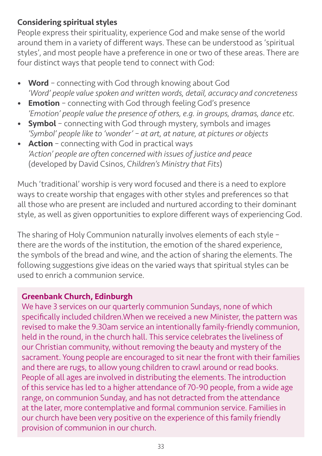## Considering spiritual styles

People express their spirituality, experience God and make sense of the world around them in a variety of different ways. These can be understood as 'spiritual styles', and most people have a preference in one or two of these areas. There are four distinct ways that people tend to connect with God:

- Word connecting with God through knowing about God *'Word' people value spoken and written words, detail, accuracy and concreteness*
- **Emotion** connecting with God through feeling God's presence *'Emotion' people value the presence of others, e.g. in groups, dramas, dance etc.*
- **Symbol** connecting with God through mystery, symbols and images *'Symbol' people like to 'wonder' – at art, at nature, at pictures or objects*
- Action connecting with God in practical ways *'Action' people are often concerned with issues of justice and peace* (developed by David Csinos, *Children's Ministry that Fits*)

Much 'traditional' worship is very word focused and there is a need to explore ways to create worship that engages with other styles and preferences so that all those who are present are included and nurtured according to their dominant style, as well as given opportunities to explore different ways of experiencing God.

The sharing of Holy Communion naturally involves elements of each style – there are the words of the institution, the emotion of the shared experience, the symbols of the bread and wine, and the action of sharing the elements. The following suggestions give ideas on the varied ways that spiritual styles can be used to enrich a communion service.

## Greenbank Church, Edinburgh

We have 3 services on our quarterly communion Sundays, none of which specifically included children.When we received a new Minister, the pattern was revised to make the 9.30am service an intentionally family-friendly communion, held in the round, in the church hall. This service celebrates the liveliness of our Christian community, without removing the beauty and mystery of the sacrament. Young people are encouraged to sit near the front with their families and there are rugs, to allow young children to crawl around or read books. People of all ages are involved in distributing the elements. The introduction of this service has led to a higher attendance of 70-90 people, from a wide age range, on communion Sunday, and has not detracted from the attendance at the later, more contemplative and formal communion service. Families in our church have been very positive on the experience of this family friendly provision of communion in our church.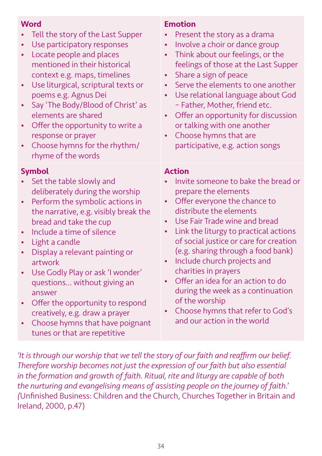## **Word**

- Tell the story of the Last Supper
- Use participatory responses
- Locate people and places mentioned in their historical context e.g. maps, timelines
- Use liturgical, scriptural texts or poems e.g. Agnus Dei
- Say 'The Body/Blood of Christ' as elements are shared
- Offer the opportunity to write a response or prayer
- Choose hymns for the rhythm/ rhyme of the words

#### Symbol

- Set the table slowly and deliberately during the worship
- Perform the symbolic actions in the narrative, e.g. visibly break the bread and take the cup
- Include a time of silence
- Light a candle
- Display a relevant painting or artwork
- Use Godly Play or ask 'I wonder' questions… without giving an answer
- Offer the opportunity to respond creatively, e.g. draw a prayer
- Choose hymns that have poignant tunes or that are repetitive

#### Emotion

- Present the story as a drama
- Involve a choir or dance group
- Think about our feelings, or the feelings of those at the Last Supper
- Share a sign of peace
- Serve the elements to one another
- Use relational language about God – Father, Mother, friend etc.
- Offer an opportunity for discussion or talking with one another
- Choose hymns that are participative, e.g. action songs

#### Action

- Invite someone to bake the bread or prepare the elements
- Offer everyone the chance to distribute the elements
- Use Fair Trade wine and bread
- Link the liturgy to practical actions of social justice or care for creation (e.g. sharing through a food bank)
- Include church projects and charities in prayers
- Offer an idea for an action to do during the week as a continuation of the worship
- Choose hymns that refer to God's and our action in the world

*'It is through our worship that we tell the story of our faith and reaffirm our belief. Therefore worship becomes not just the expression of our faith but also essential in the formation and growth of faith. Ritual, rite and liturgy are capable of both the nurturing and evangelising means of assisting people on the journey of faith.' (*Unfinished Business: Children and the Church, Churches Together in Britain and Ireland, 2000, p.47)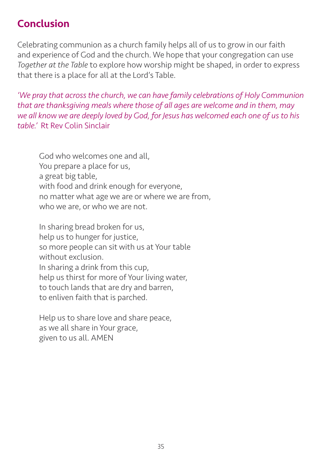# Conclusion

Celebrating communion as a church family helps all of us to grow in our faith and experience of God and the church. We hope that your congregation can use *Together at the Table* to explore how worship might be shaped, in order to express that there is a place for all at the Lord's Table.

*'We pray that across the church, we can have family celebrations of Holy Communion that are thanksgiving meals where those of all ages are welcome and in them, may we all know we are deeply loved by God, for Jesus has welcomed each one of us to his table.'* Rt Rev Colin Sinclair

God who welcomes one and all, You prepare a place for us, a great big table, with food and drink enough for everyone, no matter what age we are or where we are from, who we are, or who we are not.

In sharing bread broken for us, help us to hunger for justice, so more people can sit with us at Your table without exclusion. In sharing a drink from this cup, help us thirst for more of Your living water, to touch lands that are dry and barren, to enliven faith that is parched.

Help us to share love and share peace, as we all share in Your grace, given to us all. AMEN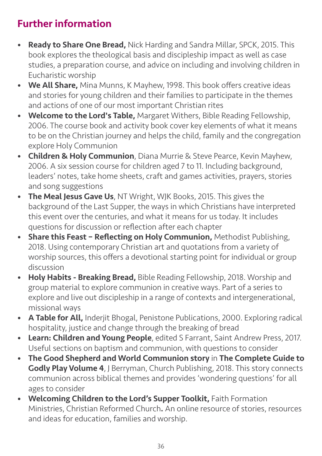# Further information

- Ready to Share One Bread, Nick Harding and Sandra Millar, SPCK, 2015. This book explores the theological basis and discipleship impact as well as case studies, a preparation course, and advice on including and involving children in Eucharistic worship
- We All Share, Mina Munns, K Mayhew, 1998. This book offers creative ideas and stories for young children and their families to participate in the themes and actions of one of our most important Christian rites
- **Welcome to the Lord's Table,** Margaret Withers, Bible Reading Fellowship, 2006. The course book and activity book cover key elements of what it means to be on the Christian journey and helps the child, family and the congregation explore Holy Communion
- Children & Holy Communion, Diana Murrie & Steve Pearce, Kevin Mayhew, 2006. A six session course for children aged 7 to 11. Including background, leaders' notes, take home sheets, craft and games activities, prayers, stories and song suggestions
- The Meal Jesus Gave Us, NT Wright, WJK Books, 2015. This gives the background of the Last Supper, the ways in which Christians have interpreted this event over the centuries, and what it means for us today. It includes questions for discussion or reflection after each chapter
- Share this Feast Reflecting on Holy Communion, Methodist Publishing, 2018. Using contemporary Christian art and quotations from a variety of worship sources, this offers a devotional starting point for individual or group discussion
- Holy Habits Breaking Bread, Bible Reading Fellowship, 2018. Worship and group material to explore communion in creative ways. Part of a series to explore and live out discipleship in a range of contexts and intergenerational, missional ways
- A Table for All, Inderjit Bhogal, Penistone Publications, 2000. Exploring radical hospitality, justice and change through the breaking of bread
- Learn: Children and Young People, edited S Farrant, Saint Andrew Press, 2017. Useful sections on baptism and communion, with questions to consider
- The Good Shepherd and World Communion story in The Complete Guide to Godly Play Volume 4, J Berryman, Church Publishing, 2018. This story connects communion across biblical themes and provides 'wondering questions' for all ages to consider
- Welcoming Children to the Lord's Supper Toolkit, Faith Formation Ministries, Christian Reformed Church. An online resource of stories, resources and ideas for education, families and worship.